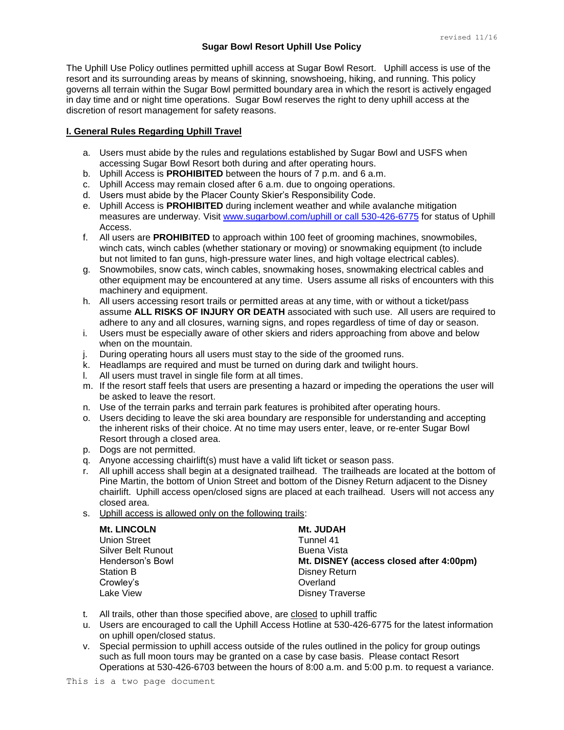## **Sugar Bowl Resort Uphill Use Policy**

The Uphill Use Policy outlines permitted uphill access at Sugar Bowl Resort. Uphill access is use of the resort and its surrounding areas by means of skinning, snowshoeing, hiking, and running. This policy governs all terrain within the Sugar Bowl permitted boundary area in which the resort is actively engaged in day time and or night time operations. Sugar Bowl reserves the right to deny uphill access at the discretion of resort management for safety reasons.

## **I. General Rules Regarding Uphill Travel**

- a. Users must abide by the rules and regulations established by Sugar Bowl and USFS when accessing Sugar Bowl Resort both during and after operating hours.
- b. Uphill Access is **PROHIBITED** between the hours of 7 p.m. and 6 a.m.
- c. Uphill Access may remain closed after 6 a.m. due to ongoing operations.
- d. Users must abide by the Placer County Skier's Responsibility Code.
- e. Uphill Access is **PROHIBITED** during inclement weather and while avalanche mitigation measures are underway. Visit [www.sugarbowl.com/uphill or call 530-426-6775](http://www.sugarbowl.com/uphill%20or%20call%20530-426-6775) for status of Uphill Access.
- f. All users are **PROHIBITED** to approach within 100 feet of grooming machines, snowmobiles, winch cats, winch cables (whether stationary or moving) or snowmaking equipment (to include but not limited to fan guns, high-pressure water lines, and high voltage electrical cables).
- g. Snowmobiles, snow cats, winch cables, snowmaking hoses, snowmaking electrical cables and other equipment may be encountered at any time. Users assume all risks of encounters with this machinery and equipment.
- h. All users accessing resort trails or permitted areas at any time, with or without a ticket/pass assume **ALL RISKS OF INJURY OR DEATH** associated with such use. All users are required to adhere to any and all closures, warning signs, and ropes regardless of time of day or season.
- i. Users must be especially aware of other skiers and riders approaching from above and below when on the mountain.
- j. During operating hours all users must stay to the side of the groomed runs.
- k. Headlamps are required and must be turned on during dark and twilight hours.
- l. All users must travel in single file form at all times.
- m. If the resort staff feels that users are presenting a hazard or impeding the operations the user will be asked to leave the resort.
- n. Use of the terrain parks and terrain park features is prohibited after operating hours.
- o. Users deciding to leave the ski area boundary are responsible for understanding and accepting the inherent risks of their choice. At no time may users enter, leave, or re-enter Sugar Bowl Resort through a closed area.
- p. Dogs are not permitted.
- q. Anyone accessing chairlift(s) must have a valid lift ticket or season pass.
- r. All uphill access shall begin at a designated trailhead. The trailheads are located at the bottom of Pine Martin, the bottom of Union Street and bottom of the Disney Return adjacent to the Disney chairlift. Uphill access open/closed signs are placed at each trailhead. Users will not access any closed area.
- s. Uphill access is allowed only on the following trails:

| <b>Mt. LINCOLN</b>  | Mt. JUDAH                               |
|---------------------|-----------------------------------------|
| <b>Union Street</b> | Tunnel 41                               |
| Silver Belt Runout  | Buena Vista                             |
| Henderson's Bowl    | Mt. DISNEY (access closed after 4:00pm) |
| <b>Station B</b>    | <b>Disney Return</b>                    |
| Crowley's           | Overland                                |
| Lake View           | <b>Disney Traverse</b>                  |

- t. All trails, other than those specified above, are closed to uphill traffic
- u. Users are encouraged to call the Uphill Access Hotline at 530-426-6775 for the latest information on uphill open/closed status.
- v. Special permission to uphill access outside of the rules outlined in the policy for group outings such as full moon tours may be granted on a case by case basis. Please contact Resort Operations at 530-426-6703 between the hours of 8:00 a.m. and 5:00 p.m. to request a variance.